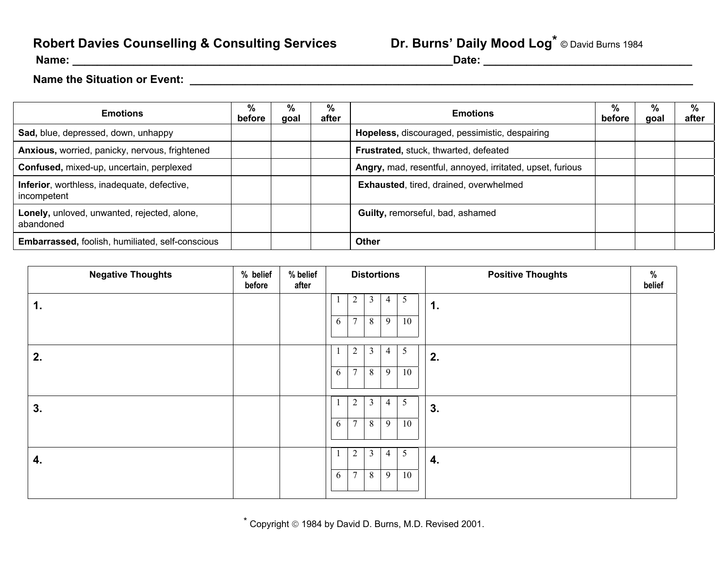## **Robert Davies Counselling & Consulting Services**

## Dr. Burns' Daily Mood Log<sup>\*</sup> © David Burns 1984

**Name: \_\_\_\_\_\_\_\_\_\_\_\_\_\_\_\_\_\_\_\_\_\_\_\_\_\_\_\_\_\_\_\_\_\_\_\_\_\_\_\_\_\_\_\_\_\_\_\_\_\_\_\_\_\_\_\_\_\_\_\_\_\_Date: \_\_\_\_\_\_\_\_\_\_\_\_\_\_\_\_\_\_\_\_\_\_\_\_\_\_\_\_\_\_\_\_\_\_**

## **Name the Situation or Event: \_\_\_\_\_\_\_\_\_\_\_\_\_\_\_\_\_\_\_\_\_\_\_\_\_\_\_\_\_\_\_\_\_\_\_\_\_\_\_\_\_\_\_\_\_\_\_\_\_\_\_\_\_\_\_\_\_\_\_\_\_\_\_\_\_\_\_\_\_\_\_\_\_\_\_\_\_\_\_\_\_\_**

| <b>Emotions</b>                                            | %<br>before | ℅<br>goal | ℅<br>after | <b>Emotions</b>                                           | %<br>before | %<br>goal | %<br>after |
|------------------------------------------------------------|-------------|-----------|------------|-----------------------------------------------------------|-------------|-----------|------------|
| Sad, blue, depressed, down, unhappy                        |             |           |            | Hopeless, discouraged, pessimistic, despairing            |             |           |            |
| Anxious, worried, panicky, nervous, frightened             |             |           |            | Frustrated, stuck, thwarted, defeated                     |             |           |            |
| Confused, mixed-up, uncertain, perplexed                   |             |           |            | Angry, mad, resentful, annoyed, irritated, upset, furious |             |           |            |
| Inferior, worthless, inadequate, defective,<br>incompetent |             |           |            | Exhausted, tired, drained, overwhelmed                    |             |           |            |
| Lonely, unloved, unwanted, rejected, alone,<br>abandoned   |             |           |            | Guilty, remorseful, bad, ashamed                          |             |           |            |
| <b>Embarrassed, foolish, humiliated, self-conscious</b>    |             |           |            | <b>Other</b>                                              |             |           |            |

| <b>Negative Thoughts</b> | % belief<br>before | % belief<br>after |   | <b>Distortions</b> |                |   |    | <b>Positive Thoughts</b><br>%<br>belief |
|--------------------------|--------------------|-------------------|---|--------------------|----------------|---|----|-----------------------------------------|
| 1.                       |                    |                   |   | 2                  | $\mathbf{3}$   | 4 | 5  | 1.                                      |
|                          |                    |                   | 6 | $\tau$             | $\, 8$         | 9 | 10 |                                         |
|                          |                    |                   |   |                    |                |   |    |                                         |
| 2.                       |                    |                   |   | 2                  | 3              | 4 | 5  | 2.                                      |
|                          |                    |                   | 6 | 7                  | 8              | 9 | 10 |                                         |
|                          |                    |                   |   |                    |                |   |    |                                         |
| 3.                       |                    |                   |   | 2                  | $\mathbf{3}$   | 4 | 5  | 3.                                      |
|                          |                    |                   | 6 | $\tau$             | 8              | 9 | 10 |                                         |
|                          |                    |                   |   |                    |                |   |    |                                         |
| 4.                       |                    |                   |   | $\overline{2}$     | 3              | 4 | 5  | 4.                                      |
|                          |                    |                   | 6 | $\tau$             | $8\phantom{.}$ | 9 | 10 |                                         |

 $*$  Copyright  $@$  1984 by David D. Burns, M.D. Revised 2001.